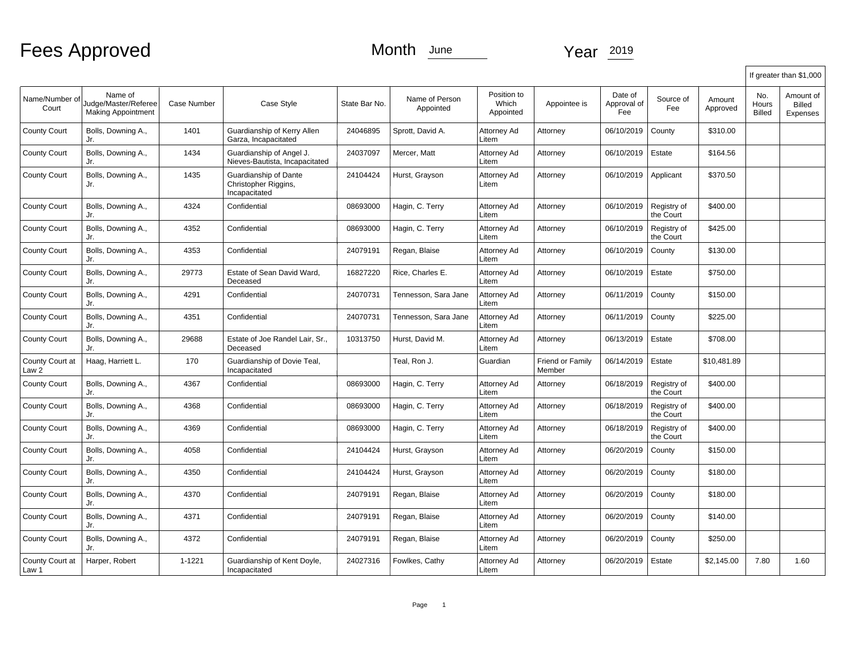Fees Approved Month June Year 2019

|                          |                                                              |                    |                                                                |               |                             |                                   |                                   |                               |                          |                    |                               | If greater than \$1,000                |
|--------------------------|--------------------------------------------------------------|--------------------|----------------------------------------------------------------|---------------|-----------------------------|-----------------------------------|-----------------------------------|-------------------------------|--------------------------|--------------------|-------------------------------|----------------------------------------|
| Name/Number of<br>Court  | Name of<br>Judge/Master/Referee<br><b>Making Appointment</b> | <b>Case Number</b> | Case Style                                                     | State Bar No. | Name of Person<br>Appointed | Position to<br>Which<br>Appointed | Appointee is                      | Date of<br>Approval of<br>Fee | Source of<br>Fee         | Amount<br>Approved | No.<br>Hours<br><b>Billed</b> | Amount of<br><b>Billed</b><br>Expenses |
| <b>County Court</b>      | Bolls, Downing A.,<br>Jr.                                    | 1401               | Guardianship of Kerry Allen<br>Garza, Incapacitated            | 24046895      | Sprott, David A.            | Attorney Ad<br>Litem              | Attorney                          | 06/10/2019                    | County                   | \$310.00           |                               |                                        |
| <b>County Court</b>      | Bolls, Downing A.,<br>Jr.                                    | 1434               | Guardianship of Angel J.<br>Nieves-Bautista, Incapacitated     | 24037097      | Mercer, Matt                | Attorney Ad<br>Litem              | Attorney                          | 06/10/2019                    | Estate                   | \$164.56           |                               |                                        |
| <b>County Court</b>      | Bolls, Downing A.,<br>Jr.                                    | 1435               | Guardianship of Dante<br>Christopher Riggins,<br>Incapacitated | 24104424      | Hurst, Grayson              | Attorney Ad<br>Litem              | Attorney                          | 06/10/2019                    | Applicant                | \$370.50           |                               |                                        |
| <b>County Court</b>      | Bolls, Downing A.,<br>Jr.                                    | 4324               | Confidential                                                   | 08693000      | Hagin, C. Terry             | Attorney Ad<br>Litem              | Attorney                          | 06/10/2019                    | Registry of<br>the Court | \$400.00           |                               |                                        |
| <b>County Court</b>      | Bolls, Downing A.,<br>Jr.                                    | 4352               | Confidential                                                   | 08693000      | Hagin, C. Terry             | Attorney Ad<br>Litem              | Attorney                          | 06/10/2019                    | Registry of<br>the Court | \$425.00           |                               |                                        |
| <b>County Court</b>      | Bolls, Downing A.,<br>Jr.                                    | 4353               | Confidential                                                   | 24079191      | Regan, Blaise               | Attorney Ad<br>Litem              | Attorney                          | 06/10/2019                    | County                   | \$130.00           |                               |                                        |
| <b>County Court</b>      | Bolls, Downing A.,<br>Jr.                                    | 29773              | Estate of Sean David Ward,<br>Deceased                         | 16827220      | Rice, Charles E.            | Attorney Ad<br>Litem              | Attorney                          | 06/10/2019                    | Estate                   | \$750.00           |                               |                                        |
| <b>County Court</b>      | Bolls, Downing A.,<br>Jr.                                    | 4291               | Confidential                                                   | 24070731      | Tennesson, Sara Jane        | Attorney Ad<br>Litem              | Attorney                          | 06/11/2019                    | County                   | \$150.00           |                               |                                        |
| <b>County Court</b>      | Bolls, Downing A.,<br>Jr.                                    | 4351               | Confidential                                                   | 24070731      | Tennesson, Sara Jane        | Attorney Ad<br>Litem              | Attorney                          | 06/11/2019                    | County                   | \$225.00           |                               |                                        |
| <b>County Court</b>      | Bolls, Downing A.,<br>Jr.                                    | 29688              | Estate of Joe Randel Lair, Sr.,<br>Deceased                    | 10313750      | Hurst, David M.             | Attorney Ad<br>Litem              | Attorney                          | 06/13/2019                    | Estate                   | \$708.00           |                               |                                        |
| County Court at<br>Law 2 | Haag, Harriett L.                                            | 170                | Guardianship of Dovie Teal,<br>Incapacitated                   |               | Teal, Ron J.                | Guardian                          | <b>Friend or Family</b><br>Member | 06/14/2019                    | Estate                   | \$10.481.89        |                               |                                        |
| <b>County Court</b>      | Bolls, Downing A.,<br>Jr.                                    | 4367               | Confidential                                                   | 08693000      | Hagin, C. Terry             | Attorney Ad<br>Litem              | Attorney                          | 06/18/2019                    | Registry of<br>the Court | \$400.00           |                               |                                        |
| <b>County Court</b>      | Bolls, Downing A.,<br>Jr.                                    | 4368               | Confidential                                                   | 08693000      | Hagin, C. Terry             | Attorney Ad<br>Litem              | Attorney                          | 06/18/2019                    | Registry of<br>the Court | \$400.00           |                               |                                        |
| <b>County Court</b>      | Bolls, Downing A.,<br>Jr.                                    | 4369               | Confidential                                                   | 08693000      | Hagin, C. Terry             | Attorney Ad<br>Litem              | Attorney                          | 06/18/2019                    | Registry of<br>the Court | \$400.00           |                               |                                        |
| <b>County Court</b>      | Bolls, Downing A.,<br>Jr.                                    | 4058               | Confidential                                                   | 24104424      | Hurst, Grayson              | Attorney Ad<br>Litem              | Attorney                          | 06/20/2019                    | County                   | \$150.00           |                               |                                        |
| <b>County Court</b>      | Bolls, Downing A.,<br>Jr.                                    | 4350               | Confidential                                                   | 24104424      | Hurst, Grayson              | Attorney Ad<br>Litem              | Attorney                          | 06/20/2019                    | County                   | \$180.00           |                               |                                        |
| <b>County Court</b>      | Bolls, Downing A.,<br>Jr.                                    | 4370               | Confidential                                                   | 24079191      | Regan, Blaise               | Attorney Ad<br>Litem              | Attorney                          | 06/20/2019                    | County                   | \$180.00           |                               |                                        |
| <b>County Court</b>      | Bolls, Downing A.,<br>Jr.                                    | 4371               | Confidential                                                   | 24079191      | Regan, Blaise               | Attorney Ad<br>Litem              | Attorney                          | 06/20/2019                    | County                   | \$140.00           |                               |                                        |
| <b>County Court</b>      | Bolls, Downing A.,<br>Jr.                                    | 4372               | Confidential                                                   | 24079191      | Regan, Blaise               | Attorney Ad<br>Litem              | Attorney                          | 06/20/2019                    | County                   | \$250.00           |                               |                                        |
| County Court at<br>Law 1 | Harper, Robert                                               | $1 - 1221$         | Guardianship of Kent Doyle,<br>Incapacitated                   | 24027316      | Fowlkes, Cathy              | Attorney Ad<br>Litem              | Attorney                          | 06/20/2019                    | Estate                   | \$2,145.00         | 7.80                          | 1.60                                   |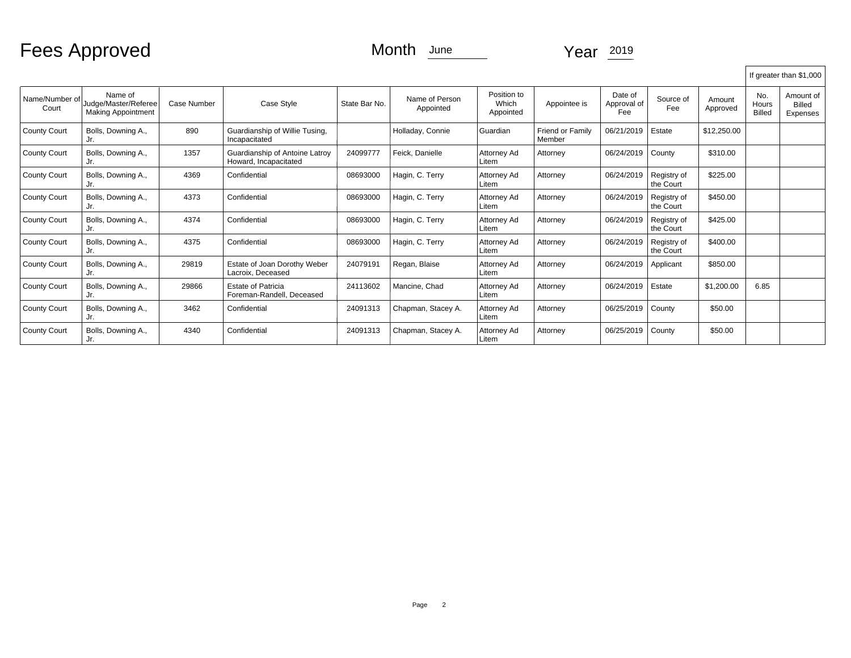Fees Approved Month June Year 2019

|                         |                                                              |                    |                                                         |               |                             |                                   |                            |                               |                          |                    |                               | If greater than \$1,000                |
|-------------------------|--------------------------------------------------------------|--------------------|---------------------------------------------------------|---------------|-----------------------------|-----------------------------------|----------------------------|-------------------------------|--------------------------|--------------------|-------------------------------|----------------------------------------|
| Name/Number of<br>Court | Name of<br>Judge/Master/Referee<br><b>Making Appointment</b> | <b>Case Number</b> | Case Style                                              | State Bar No. | Name of Person<br>Appointed | Position to<br>Which<br>Appointed | Appointee is               | Date of<br>Approval of<br>Fee | Source of<br>Fee         | Amount<br>Approved | No.<br>Hours<br><b>Billed</b> | Amount of<br><b>Billed</b><br>Expenses |
| <b>County Court</b>     | Bolls, Downing A.,<br>Jr.                                    | 890                | Guardianship of Willie Tusing,<br>Incapacitated         |               | Holladay, Connie            | Guardian                          | Friend or Family<br>Member | 06/21/2019                    | Estate                   | \$12,250.00        |                               |                                        |
| <b>County Court</b>     | Bolls, Downing A.,<br>Jr.                                    | 1357               | Guardianship of Antoine Latrov<br>Howard, Incapacitated | 24099777      | Feick. Danielle             | Attornev Ad<br>Litem              | Attorney                   | 06/24/2019                    | County                   | \$310.00           |                               |                                        |
| <b>County Court</b>     | Bolls, Downing A.,<br>Jr.                                    | 4369               | Confidential                                            | 08693000      | Hagin, C. Terry             | Attorney Ad<br>Litem              | Attorney                   | 06/24/2019                    | Registry of<br>the Court | \$225.00           |                               |                                        |
| <b>County Court</b>     | Bolls, Downing A.,<br>Jr.                                    | 4373               | Confidential                                            | 08693000      | Hagin, C. Terry             | Attorney Ad<br>Litem              | Attorney                   | 06/24/2019                    | Registry of<br>the Court | \$450.00           |                               |                                        |
| <b>County Court</b>     | Bolls, Downing A.,<br>Jr.                                    | 4374               | Confidential                                            | 08693000      | Hagin, C. Terry             | Attorney Ad<br>Litem              | Attorney                   | 06/24/2019                    | Registry of<br>the Court | \$425.00           |                               |                                        |
| <b>County Court</b>     | Bolls, Downing A.,<br>Jr.                                    | 4375               | Confidential                                            | 08693000      | Hagin, C. Terry             | Attorney Ad<br>Litem              | Attorney                   | 06/24/2019                    | Registry of<br>the Court | \$400.00           |                               |                                        |
| <b>County Court</b>     | Bolls, Downing A.,<br>Jr.                                    | 29819              | Estate of Joan Dorothy Weber<br>Lacroix. Deceased       | 24079191      | Regan, Blaise               | Attorney Ad<br>Litem              | Attorney                   | 06/24/2019                    | Applicant                | \$850.00           |                               |                                        |
| <b>County Court</b>     | Bolls, Downing A.,<br>Jr.                                    | 29866              | <b>Estate of Patricia</b><br>Foreman-Randell, Deceased  | 24113602      | Mancine, Chad               | Attorney Ad<br>Litem              | Attorney                   | 06/24/2019                    | Estate                   | \$1,200.00         | 6.85                          |                                        |
| <b>County Court</b>     | Bolls, Downing A.,<br>Jr.                                    | 3462               | Confidential                                            | 24091313      | Chapman, Stacey A.          | <b>Attorney Ad</b><br>Litem       | Attorney                   | 06/25/2019                    | County                   | \$50.00            |                               |                                        |
| <b>County Court</b>     | Bolls, Downing A.,<br>Jr.                                    | 4340               | Confidential                                            | 24091313      | Chapman, Stacey A.          | <b>Attorney Ad</b><br>l Litem     | Attorney                   | 06/25/2019                    | County                   | \$50.00            |                               |                                        |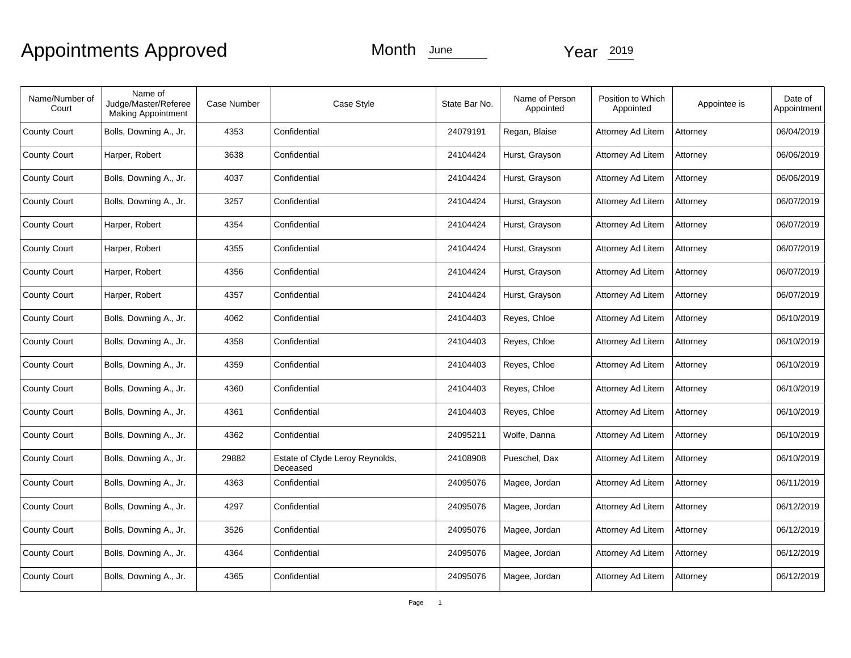# Appointments Approved Month June Year 2019

| Name/Number of<br>Court | Name of<br>Judge/Master/Referee<br><b>Making Appointment</b> | <b>Case Number</b> | Case Style                                  | State Bar No. | Name of Person<br>Appointed | Position to Which<br>Appointed | Appointee is | Date of<br>Appointment |
|-------------------------|--------------------------------------------------------------|--------------------|---------------------------------------------|---------------|-----------------------------|--------------------------------|--------------|------------------------|
| <b>County Court</b>     | Bolls, Downing A., Jr.                                       | 4353               | Confidential                                | 24079191      | Regan, Blaise               | Attorney Ad Litem              | Attorney     | 06/04/2019             |
| <b>County Court</b>     | Harper, Robert                                               | 3638               | Confidential                                | 24104424      | Hurst, Grayson              | Attorney Ad Litem              | Attorney     | 06/06/2019             |
| <b>County Court</b>     | Bolls, Downing A., Jr.                                       | 4037               | Confidential                                | 24104424      | Hurst, Grayson              | Attorney Ad Litem              | Attorney     | 06/06/2019             |
| <b>County Court</b>     | Bolls, Downing A., Jr.                                       | 3257               | Confidential                                | 24104424      | Hurst, Grayson              | Attorney Ad Litem              | Attorney     | 06/07/2019             |
| <b>County Court</b>     | Harper, Robert                                               | 4354               | Confidential                                | 24104424      | Hurst, Grayson              | Attorney Ad Litem              | Attorney     | 06/07/2019             |
| <b>County Court</b>     | Harper, Robert                                               | 4355               | Confidential                                | 24104424      | Hurst, Grayson              | Attorney Ad Litem              | Attorney     | 06/07/2019             |
| <b>County Court</b>     | Harper, Robert                                               | 4356               | Confidential                                | 24104424      | Hurst, Grayson              | Attorney Ad Litem              | Attorney     | 06/07/2019             |
| <b>County Court</b>     | Harper, Robert                                               | 4357               | Confidential                                | 24104424      | Hurst, Grayson              | Attorney Ad Litem              | Attorney     | 06/07/2019             |
| <b>County Court</b>     | Bolls, Downing A., Jr.                                       | 4062               | Confidential                                | 24104403      | Reyes, Chloe                | Attorney Ad Litem              | Attorney     | 06/10/2019             |
| <b>County Court</b>     | Bolls, Downing A., Jr.                                       | 4358               | Confidential                                | 24104403      | Reyes, Chloe                | Attorney Ad Litem              | Attorney     | 06/10/2019             |
| <b>County Court</b>     | Bolls, Downing A., Jr.                                       | 4359               | Confidential                                | 24104403      | Reyes, Chloe                | Attorney Ad Litem              | Attorney     | 06/10/2019             |
| <b>County Court</b>     | Bolls, Downing A., Jr.                                       | 4360               | Confidential                                | 24104403      | Reyes, Chloe                | Attorney Ad Litem              | Attorney     | 06/10/2019             |
| <b>County Court</b>     | Bolls, Downing A., Jr.                                       | 4361               | Confidential                                | 24104403      | Reyes, Chloe                | Attorney Ad Litem              | Attorney     | 06/10/2019             |
| <b>County Court</b>     | Bolls, Downing A., Jr.                                       | 4362               | Confidential                                | 24095211      | Wolfe, Danna                | Attorney Ad Litem              | Attorney     | 06/10/2019             |
| <b>County Court</b>     | Bolls, Downing A., Jr.                                       | 29882              | Estate of Clyde Leroy Reynolds,<br>Deceased | 24108908      | Pueschel, Dax               | Attorney Ad Litem              | Attorney     | 06/10/2019             |
| <b>County Court</b>     | Bolls, Downing A., Jr.                                       | 4363               | Confidential                                | 24095076      | Magee, Jordan               | Attorney Ad Litem              | Attorney     | 06/11/2019             |
| <b>County Court</b>     | Bolls, Downing A., Jr.                                       | 4297               | Confidential                                | 24095076      | Magee, Jordan               | Attorney Ad Litem              | Attorney     | 06/12/2019             |
| County Court            | Bolls, Downing A., Jr.                                       | 3526               | Confidential                                | 24095076      | Magee, Jordan               | Attorney Ad Litem              | Attorney     | 06/12/2019             |
| <b>County Court</b>     | Bolls, Downing A., Jr.                                       | 4364               | Confidential                                | 24095076      | Magee, Jordan               | Attorney Ad Litem              | Attorney     | 06/12/2019             |
| <b>County Court</b>     | Bolls, Downing A., Jr.                                       | 4365               | Confidential                                | 24095076      | Magee, Jordan               | Attorney Ad Litem              | Attorney     | 06/12/2019             |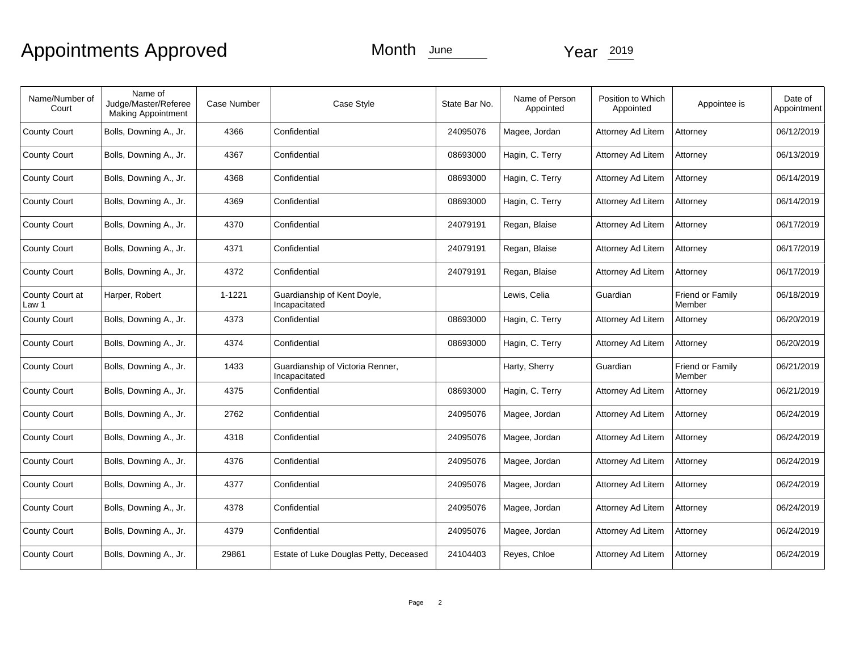# Appointments Approved Month June Year 2019

| Name/Number of<br>Court  | Name of<br>Judge/Master/Referee<br><b>Making Appointment</b> | Case Number | Case Style                                        | State Bar No. | Name of Person<br>Appointed | Position to Which<br>Appointed | Appointee is               | Date of<br>Appointment |
|--------------------------|--------------------------------------------------------------|-------------|---------------------------------------------------|---------------|-----------------------------|--------------------------------|----------------------------|------------------------|
| <b>County Court</b>      | Bolls, Downing A., Jr.                                       | 4366        | Confidential                                      | 24095076      | Magee, Jordan               | Attorney Ad Litem              | Attorney                   | 06/12/2019             |
| <b>County Court</b>      | Bolls, Downing A., Jr.                                       | 4367        | Confidential                                      | 08693000      | Hagin, C. Terry             | Attorney Ad Litem              | Attorney                   | 06/13/2019             |
| <b>County Court</b>      | Bolls, Downing A., Jr.                                       | 4368        | Confidential                                      | 08693000      | Hagin, C. Terry             | Attorney Ad Litem              | Attorney                   | 06/14/2019             |
| <b>County Court</b>      | Bolls, Downing A., Jr.                                       | 4369        | Confidential                                      | 08693000      | Hagin, C. Terry             | Attorney Ad Litem              | Attorney                   | 06/14/2019             |
| <b>County Court</b>      | Bolls, Downing A., Jr.                                       | 4370        | Confidential                                      | 24079191      | Regan, Blaise               | Attorney Ad Litem              | Attorney                   | 06/17/2019             |
| <b>County Court</b>      | Bolls, Downing A., Jr.                                       | 4371        | Confidential                                      | 24079191      | Regan, Blaise               | Attorney Ad Litem              | Attorney                   | 06/17/2019             |
| <b>County Court</b>      | Bolls, Downing A., Jr.                                       | 4372        | Confidential                                      | 24079191      | Regan, Blaise               | Attorney Ad Litem              | Attorney                   | 06/17/2019             |
| County Court at<br>Law 1 | Harper, Robert                                               | 1-1221      | Guardianship of Kent Doyle,<br>Incapacitated      |               | Lewis, Celia                | Guardian                       | Friend or Family<br>Member | 06/18/2019             |
| <b>County Court</b>      | Bolls, Downing A., Jr.                                       | 4373        | Confidential                                      | 08693000      | Hagin, C. Terry             | Attorney Ad Litem              | Attorney                   | 06/20/2019             |
| <b>County Court</b>      | Bolls, Downing A., Jr.                                       | 4374        | Confidential                                      | 08693000      | Hagin, C. Terry             | Attorney Ad Litem              | Attorney                   | 06/20/2019             |
| <b>County Court</b>      | Bolls, Downing A., Jr.                                       | 1433        | Guardianship of Victoria Renner,<br>Incapacitated |               | Harty, Sherry               | Guardian                       | Friend or Family<br>Member | 06/21/2019             |
| <b>County Court</b>      | Bolls, Downing A., Jr.                                       | 4375        | Confidential                                      | 08693000      | Hagin, C. Terry             | Attorney Ad Litem              | Attorney                   | 06/21/2019             |
| <b>County Court</b>      | Bolls, Downing A., Jr.                                       | 2762        | Confidential                                      | 24095076      | Magee, Jordan               | Attorney Ad Litem              | Attorney                   | 06/24/2019             |
| <b>County Court</b>      | Bolls, Downing A., Jr.                                       | 4318        | Confidential                                      | 24095076      | Magee, Jordan               | Attorney Ad Litem              | Attorney                   | 06/24/2019             |
| <b>County Court</b>      | Bolls, Downing A., Jr.                                       | 4376        | Confidential                                      | 24095076      | Magee, Jordan               | Attorney Ad Litem              | Attorney                   | 06/24/2019             |
| <b>County Court</b>      | Bolls, Downing A., Jr.                                       | 4377        | Confidential                                      | 24095076      | Magee, Jordan               | Attorney Ad Litem              | Attorney                   | 06/24/2019             |
| <b>County Court</b>      | Bolls, Downing A., Jr.                                       | 4378        | Confidential                                      | 24095076      | Magee, Jordan               | Attorney Ad Litem              | Attorney                   | 06/24/2019             |
| <b>County Court</b>      | Bolls, Downing A., Jr.                                       | 4379        | Confidential                                      | 24095076      | Magee, Jordan               | Attorney Ad Litem              | Attorney                   | 06/24/2019             |
| <b>County Court</b>      | Bolls, Downing A., Jr.                                       | 29861       | Estate of Luke Douglas Petty, Deceased            | 24104403      | Reyes, Chloe                | Attorney Ad Litem              | Attorney                   | 06/24/2019             |